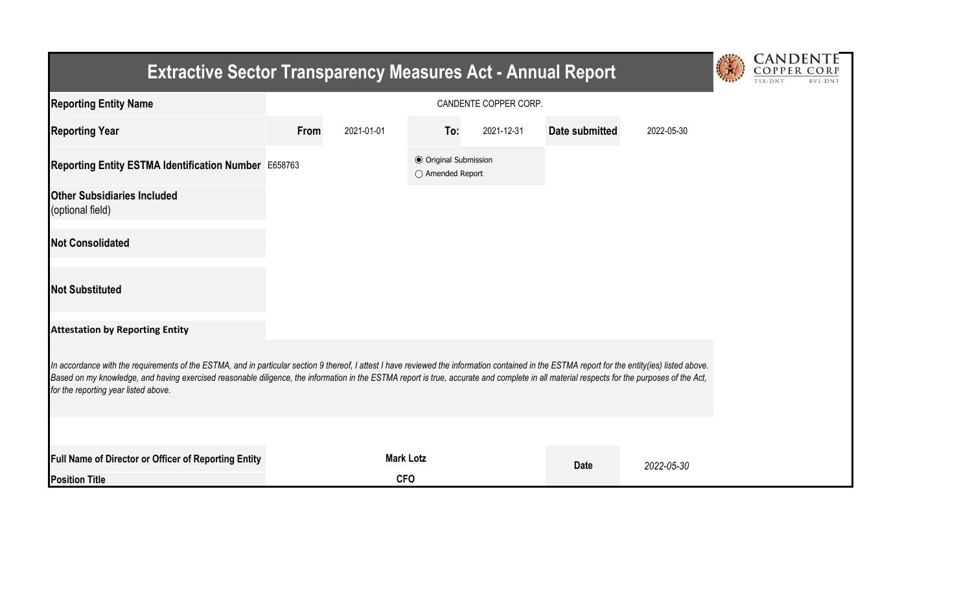| <b>Extractive Sector Transparency Measures Act - Annual Report</b>                                                                                                                                                                                                                                                                                                                                                                    | CANDENTE |                  |                                                  |            |                |            |  |  |
|---------------------------------------------------------------------------------------------------------------------------------------------------------------------------------------------------------------------------------------------------------------------------------------------------------------------------------------------------------------------------------------------------------------------------------------|----------|------------------|--------------------------------------------------|------------|----------------|------------|--|--|
| <b>Reporting Entity Name</b>                                                                                                                                                                                                                                                                                                                                                                                                          |          |                  |                                                  |            |                |            |  |  |
| <b>Reporting Year</b>                                                                                                                                                                                                                                                                                                                                                                                                                 | From     | 2021-01-01       | To:                                              | 2021-12-31 | Date submitted | 2022-05-30 |  |  |
| Reporting Entity ESTMA Identification Number E658763                                                                                                                                                                                                                                                                                                                                                                                  |          |                  | <b>● Original Submission</b><br>○ Amended Report |            |                |            |  |  |
| <b>Other Subsidiaries Included</b><br>(optional field)                                                                                                                                                                                                                                                                                                                                                                                |          |                  |                                                  |            |                |            |  |  |
| <b>Not Consolidated</b>                                                                                                                                                                                                                                                                                                                                                                                                               |          |                  |                                                  |            |                |            |  |  |
| <b>Not Substituted</b>                                                                                                                                                                                                                                                                                                                                                                                                                |          |                  |                                                  |            |                |            |  |  |
| <b>Attestation by Reporting Entity</b>                                                                                                                                                                                                                                                                                                                                                                                                |          |                  |                                                  |            |                |            |  |  |
| In accordance with the requirements of the ESTMA, and in particular section 9 thereof, I attest I have reviewed the information contained in the ESTMA report for the entity(ies) listed above.<br>Based on my knowledge, and having exercised reasonable diligence, the information in the ESTMA report is true, accurate and complete in all material respects for the purposes of the Act,<br>for the reporting year listed above. |          |                  |                                                  |            |                |            |  |  |
|                                                                                                                                                                                                                                                                                                                                                                                                                                       |          |                  |                                                  |            |                |            |  |  |
| Full Name of Director or Officer of Reporting Entity                                                                                                                                                                                                                                                                                                                                                                                  |          | <b>Mark Lotz</b> |                                                  |            | <b>Date</b>    | 2022-05-30 |  |  |
| <b>Position Title</b>                                                                                                                                                                                                                                                                                                                                                                                                                 |          | <b>CFO</b>       |                                                  |            |                |            |  |  |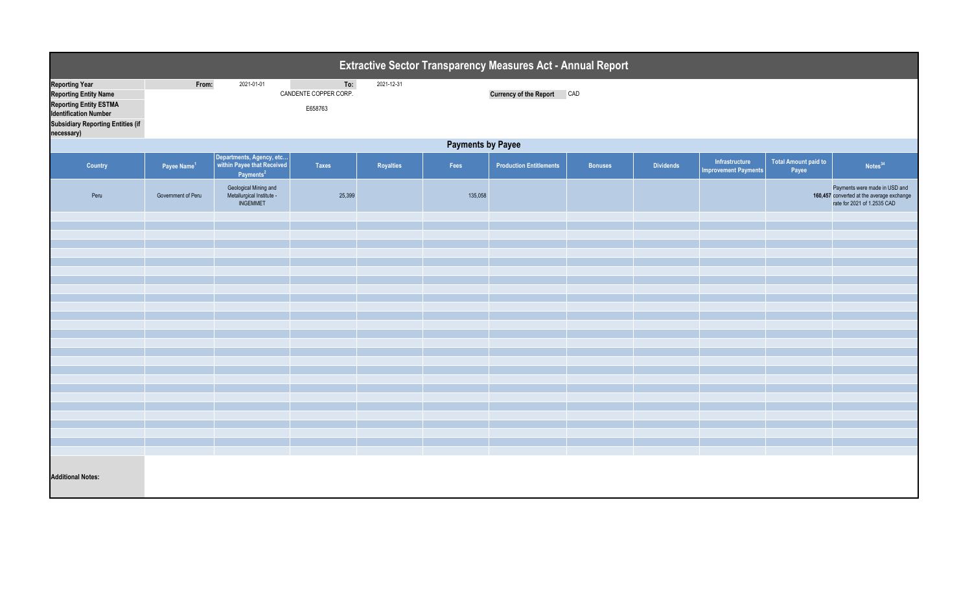| Extractive Sector Transparency Measures Act - Annual Report                                                                                                                      |                          |                                                                                 |                                         |            |         |                                |                |                  |                                               |                                      |                                                                                                           |  |
|----------------------------------------------------------------------------------------------------------------------------------------------------------------------------------|--------------------------|---------------------------------------------------------------------------------|-----------------------------------------|------------|---------|--------------------------------|----------------|------------------|-----------------------------------------------|--------------------------------------|-----------------------------------------------------------------------------------------------------------|--|
| <b>Reporting Year</b><br><b>Reporting Entity Name</b><br><b>Reporting Entity ESTMA</b><br><b>Identification Number</b><br><b>Subsidiary Reporting Entities (if</b><br>necessary) | From:                    | 2021-01-01                                                                      | To:<br>CANDENTE COPPER CORP.<br>E658763 | 2021-12-31 |         | Currency of the Report CAD     |                |                  |                                               |                                      |                                                                                                           |  |
|                                                                                                                                                                                  | <b>Payments by Payee</b> |                                                                                 |                                         |            |         |                                |                |                  |                                               |                                      |                                                                                                           |  |
| <b>Country</b>                                                                                                                                                                   | Payee Name <sup>1</sup>  | Departments, Agency, etc<br>within Payee that Received<br>Payments <sup>2</sup> | <b>Taxes</b>                            | Royalties  | Fees    | <b>Production Entitlements</b> | <b>Bonuses</b> | <b>Dividends</b> | Infrastructure<br><b>Improvement Payments</b> | <b>Total Amount paid to</b><br>Payee | Notes <sup>34</sup>                                                                                       |  |
| Peru                                                                                                                                                                             | Government of Peru       | Geological Mining and<br>Metallurgical Institute -<br>INGEMMET                  | 25,399                                  |            | 135,058 |                                |                |                  |                                               |                                      | Payments were made in USD and<br>160,457 converted at the average exchange<br>rate for 2021 of 1.2535 CAD |  |
|                                                                                                                                                                                  |                          |                                                                                 |                                         |            |         |                                |                |                  |                                               |                                      |                                                                                                           |  |
|                                                                                                                                                                                  |                          |                                                                                 |                                         |            |         |                                |                |                  |                                               |                                      |                                                                                                           |  |
|                                                                                                                                                                                  |                          |                                                                                 |                                         |            |         |                                |                |                  |                                               |                                      |                                                                                                           |  |
|                                                                                                                                                                                  |                          |                                                                                 |                                         |            |         |                                |                |                  |                                               |                                      |                                                                                                           |  |
|                                                                                                                                                                                  |                          |                                                                                 |                                         |            |         |                                |                |                  |                                               |                                      |                                                                                                           |  |
|                                                                                                                                                                                  |                          |                                                                                 |                                         |            |         |                                |                |                  |                                               |                                      |                                                                                                           |  |
|                                                                                                                                                                                  |                          |                                                                                 |                                         |            |         |                                |                |                  |                                               |                                      |                                                                                                           |  |
|                                                                                                                                                                                  |                          |                                                                                 |                                         |            |         |                                |                |                  |                                               |                                      |                                                                                                           |  |
|                                                                                                                                                                                  |                          |                                                                                 |                                         |            |         |                                |                |                  |                                               |                                      |                                                                                                           |  |
|                                                                                                                                                                                  |                          |                                                                                 |                                         |            |         |                                |                |                  |                                               |                                      |                                                                                                           |  |
|                                                                                                                                                                                  |                          |                                                                                 |                                         |            |         |                                |                |                  |                                               |                                      |                                                                                                           |  |
|                                                                                                                                                                                  |                          |                                                                                 |                                         |            |         |                                |                |                  |                                               |                                      |                                                                                                           |  |
|                                                                                                                                                                                  |                          |                                                                                 |                                         |            |         |                                |                |                  |                                               |                                      |                                                                                                           |  |
|                                                                                                                                                                                  |                          |                                                                                 |                                         |            |         |                                |                |                  |                                               |                                      |                                                                                                           |  |
|                                                                                                                                                                                  |                          |                                                                                 |                                         |            |         |                                |                |                  |                                               |                                      |                                                                                                           |  |
|                                                                                                                                                                                  |                          |                                                                                 |                                         |            |         |                                |                |                  |                                               |                                      |                                                                                                           |  |
|                                                                                                                                                                                  |                          |                                                                                 |                                         |            |         |                                |                |                  |                                               |                                      |                                                                                                           |  |
| <b>Additional Notes:</b>                                                                                                                                                         |                          |                                                                                 |                                         |            |         |                                |                |                  |                                               |                                      |                                                                                                           |  |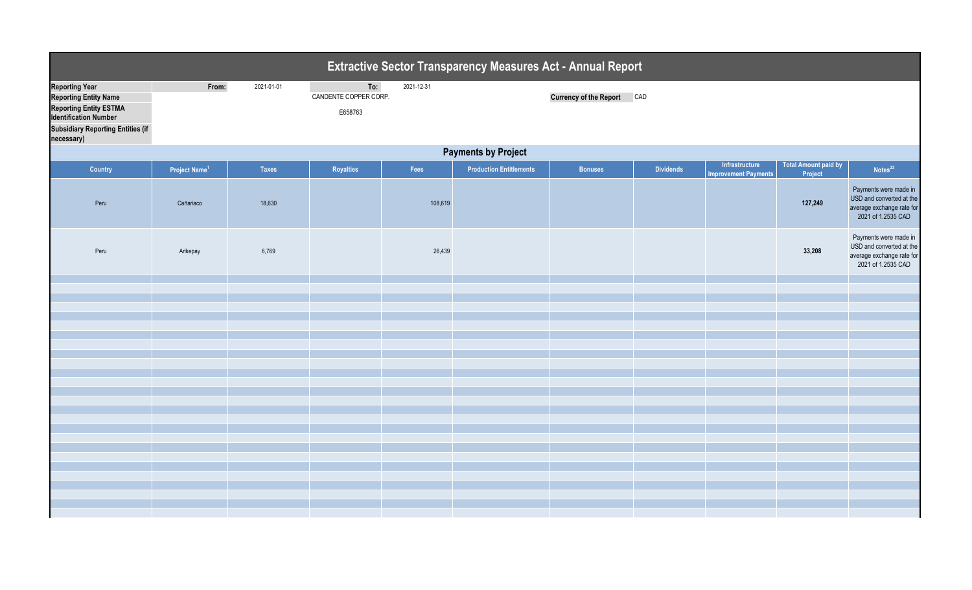|                                                                                                                                                                                  |                            |              |                                         |            | <b>Extractive Sector Transparency Measures Act - Annual Report</b> |                                   |                  |                                               |                                        |                                                                                                      |  |  |  |
|----------------------------------------------------------------------------------------------------------------------------------------------------------------------------------|----------------------------|--------------|-----------------------------------------|------------|--------------------------------------------------------------------|-----------------------------------|------------------|-----------------------------------------------|----------------------------------------|------------------------------------------------------------------------------------------------------|--|--|--|
| <b>Reporting Year</b><br><b>Reporting Entity Name</b><br><b>Reporting Entity ESTMA</b><br><b>Identification Number</b><br><b>Subsidiary Reporting Entities (if</b><br>necessary) | From:                      | 2021-01-01   | To:<br>CANDENTE COPPER CORP.<br>E658763 | 2021-12-31 |                                                                    | <b>Currency of the Report CAD</b> |                  |                                               |                                        |                                                                                                      |  |  |  |
|                                                                                                                                                                                  | <b>Payments by Project</b> |              |                                         |            |                                                                    |                                   |                  |                                               |                                        |                                                                                                      |  |  |  |
| Country                                                                                                                                                                          | Project Name <sup>1</sup>  | <b>Taxes</b> | Royalties                               | Fees       | <b>Production Entitlements</b>                                     | <b>Bonuses</b>                    | <b>Dividends</b> | Infrastructure<br><b>Improvement Payments</b> | <b>Total Amount paid by</b><br>Project | Notes <sup>23</sup>                                                                                  |  |  |  |
| Peru                                                                                                                                                                             | Cañariaco                  | 18,630       |                                         | 108,619    |                                                                    |                                   |                  |                                               | 127,249                                | Payments were made in<br>USD and converted at the<br>average exchange rate for<br>2021 of 1.2535 CAD |  |  |  |
| Peru                                                                                                                                                                             | Arikepay                   | 6,769        |                                         | 26,439     |                                                                    |                                   |                  |                                               | 33,208                                 | Payments were made in<br>USD and converted at the<br>average exchange rate for<br>2021 of 1.2535 CAD |  |  |  |
|                                                                                                                                                                                  |                            |              |                                         |            |                                                                    |                                   |                  |                                               |                                        |                                                                                                      |  |  |  |
|                                                                                                                                                                                  |                            |              |                                         |            |                                                                    |                                   |                  |                                               |                                        |                                                                                                      |  |  |  |
|                                                                                                                                                                                  |                            |              |                                         |            |                                                                    |                                   |                  |                                               |                                        |                                                                                                      |  |  |  |
|                                                                                                                                                                                  |                            |              |                                         |            |                                                                    |                                   |                  |                                               |                                        |                                                                                                      |  |  |  |
|                                                                                                                                                                                  |                            |              |                                         |            |                                                                    |                                   |                  |                                               |                                        |                                                                                                      |  |  |  |
|                                                                                                                                                                                  |                            |              |                                         |            |                                                                    |                                   |                  |                                               |                                        |                                                                                                      |  |  |  |
|                                                                                                                                                                                  |                            |              |                                         |            |                                                                    |                                   |                  |                                               |                                        |                                                                                                      |  |  |  |
|                                                                                                                                                                                  |                            |              |                                         |            |                                                                    |                                   |                  |                                               |                                        |                                                                                                      |  |  |  |
|                                                                                                                                                                                  |                            |              |                                         |            |                                                                    |                                   |                  |                                               |                                        |                                                                                                      |  |  |  |
|                                                                                                                                                                                  |                            |              |                                         |            |                                                                    |                                   |                  |                                               |                                        |                                                                                                      |  |  |  |
|                                                                                                                                                                                  |                            |              |                                         |            |                                                                    |                                   |                  |                                               |                                        |                                                                                                      |  |  |  |
|                                                                                                                                                                                  |                            |              |                                         |            |                                                                    |                                   |                  |                                               |                                        |                                                                                                      |  |  |  |
|                                                                                                                                                                                  |                            |              |                                         |            |                                                                    |                                   |                  |                                               |                                        |                                                                                                      |  |  |  |
|                                                                                                                                                                                  |                            |              |                                         |            |                                                                    |                                   |                  |                                               |                                        |                                                                                                      |  |  |  |
|                                                                                                                                                                                  |                            |              |                                         |            |                                                                    |                                   |                  |                                               |                                        |                                                                                                      |  |  |  |